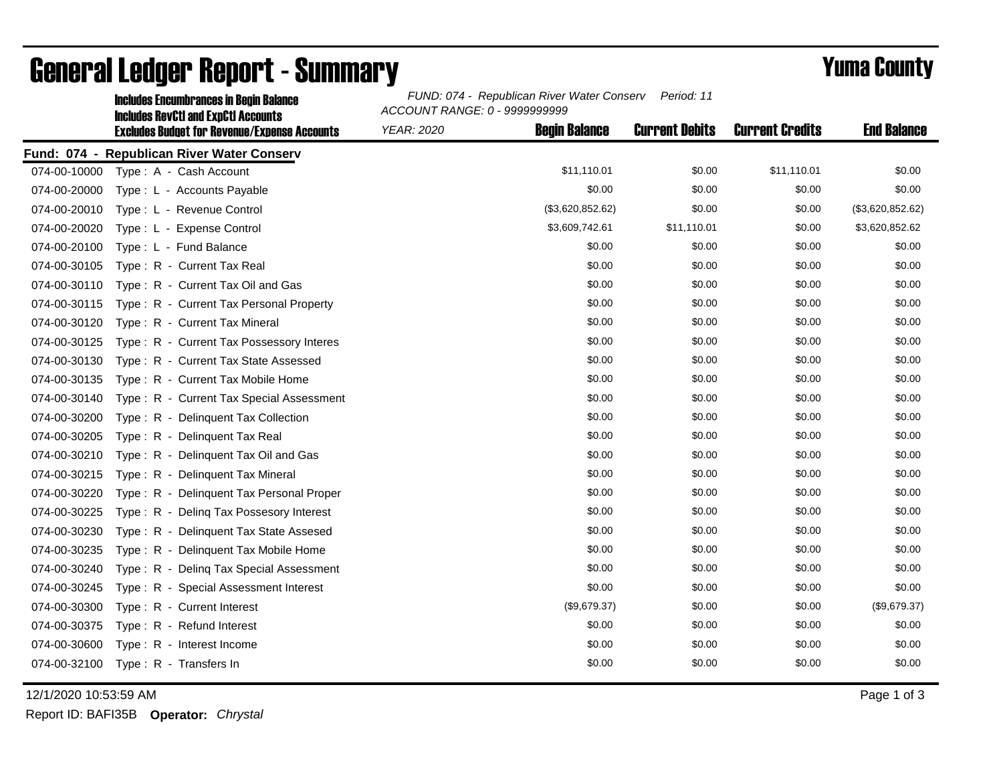|              | <b>Includes Encumbrances in Begin Balance</b>                                                     | FUND: 074 - Republican River Water Conserv<br>Period: 11<br>ACCOUNT RANGE: 0 - 9999999999 |                      |                       |                        |                    |  |
|--------------|---------------------------------------------------------------------------------------------------|-------------------------------------------------------------------------------------------|----------------------|-----------------------|------------------------|--------------------|--|
|              | <b>Includes RevCtI and ExpCtI Accounts</b><br><b>Excludes Budget for Revenue/Expense Accounts</b> | YEAR: 2020                                                                                | <b>Begin Balance</b> | <b>Current Debits</b> | <b>Current Credits</b> | <b>End Balance</b> |  |
|              | Fund: 074 - Republican River Water Conserv                                                        |                                                                                           |                      |                       |                        |                    |  |
|              | 074-00-10000 Type: A - Cash Account                                                               |                                                                                           | \$11,110.01          | \$0.00                | \$11,110.01            | \$0.00             |  |
| 074-00-20000 | Type : L - Accounts Payable                                                                       |                                                                                           | \$0.00               | \$0.00                | \$0.00                 | \$0.00             |  |
| 074-00-20010 | Type: L - Revenue Control                                                                         |                                                                                           | (\$3,620,852.62)     | \$0.00                | \$0.00                 | (\$3,620,852.62)   |  |
| 074-00-20020 | Type: L - Expense Control                                                                         |                                                                                           | \$3,609,742.61       | \$11,110.01           | \$0.00                 | \$3,620,852.62     |  |
| 074-00-20100 | Type: L - Fund Balance                                                                            |                                                                                           | \$0.00               | \$0.00                | \$0.00                 | \$0.00             |  |
| 074-00-30105 | Type: R - Current Tax Real                                                                        |                                                                                           | \$0.00               | \$0.00                | \$0.00                 | \$0.00             |  |
| 074-00-30110 | Type: R - Current Tax Oil and Gas                                                                 |                                                                                           | \$0.00               | \$0.00                | \$0.00                 | \$0.00             |  |
| 074-00-30115 | Type: R - Current Tax Personal Property                                                           |                                                                                           | \$0.00               | \$0.00                | \$0.00                 | \$0.00             |  |
| 074-00-30120 | Type: R - Current Tax Mineral                                                                     |                                                                                           | \$0.00               | \$0.00                | \$0.00                 | \$0.00             |  |
| 074-00-30125 | Type: R - Current Tax Possessory Interes                                                          |                                                                                           | \$0.00               | \$0.00                | \$0.00                 | \$0.00             |  |
| 074-00-30130 | Type: R - Current Tax State Assessed                                                              |                                                                                           | \$0.00               | \$0.00                | \$0.00                 | \$0.00             |  |
| 074-00-30135 | Type: R - Current Tax Mobile Home                                                                 |                                                                                           | \$0.00               | \$0.00                | \$0.00                 | \$0.00             |  |
| 074-00-30140 | Type: R - Current Tax Special Assessment                                                          |                                                                                           | \$0.00               | \$0.00                | \$0.00                 | \$0.00             |  |
| 074-00-30200 | Type: R - Delinquent Tax Collection                                                               |                                                                                           | \$0.00               | \$0.00                | \$0.00                 | \$0.00             |  |
| 074-00-30205 | Type: R - Delinquent Tax Real                                                                     |                                                                                           | \$0.00               | \$0.00                | \$0.00                 | \$0.00             |  |
| 074-00-30210 | Type: R - Delinquent Tax Oil and Gas                                                              |                                                                                           | \$0.00               | \$0.00                | \$0.00                 | \$0.00             |  |
| 074-00-30215 | Type: R - Delinquent Tax Mineral                                                                  |                                                                                           | \$0.00               | \$0.00                | \$0.00                 | \$0.00             |  |
| 074-00-30220 | Type: R - Delinquent Tax Personal Proper                                                          |                                                                                           | \$0.00               | \$0.00                | \$0.00                 | \$0.00             |  |
| 074-00-30225 | Type: R - Deling Tax Possesory Interest                                                           |                                                                                           | \$0.00               | \$0.00                | \$0.00                 | \$0.00             |  |
| 074-00-30230 | Type: R - Delinquent Tax State Assesed                                                            |                                                                                           | \$0.00               | \$0.00                | \$0.00                 | \$0.00             |  |
| 074-00-30235 | Type: R - Delinquent Tax Mobile Home                                                              |                                                                                           | \$0.00               | \$0.00                | \$0.00                 | \$0.00             |  |
| 074-00-30240 | Type: R - Deling Tax Special Assessment                                                           |                                                                                           | \$0.00               | \$0.00                | \$0.00                 | \$0.00             |  |
| 074-00-30245 | Type: R - Special Assessment Interest                                                             |                                                                                           | \$0.00               | \$0.00                | \$0.00                 | \$0.00             |  |
| 074-00-30300 | Type: R - Current Interest                                                                        |                                                                                           | (\$9,679.37)         | \$0.00                | \$0.00                 | (\$9,679.37)       |  |
| 074-00-30375 | Type: R - Refund Interest                                                                         |                                                                                           | \$0.00               | \$0.00                | \$0.00                 | \$0.00             |  |
| 074-00-30600 | Type: R - Interest Income                                                                         |                                                                                           | \$0.00               | \$0.00                | \$0.00                 | \$0.00             |  |
|              | 074-00-32100 Type: R - Transfers In                                                               |                                                                                           | \$0.00               | \$0.00                | \$0.00                 | \$0.00             |  |
|              |                                                                                                   |                                                                                           |                      |                       |                        |                    |  |

## General Ledger Report - Summary **Example 2018** Yuma County

12/1/2020 10:53:59 AM Page 1 of 3

Report ID: BAFI35B **Operator:** *Chrystal*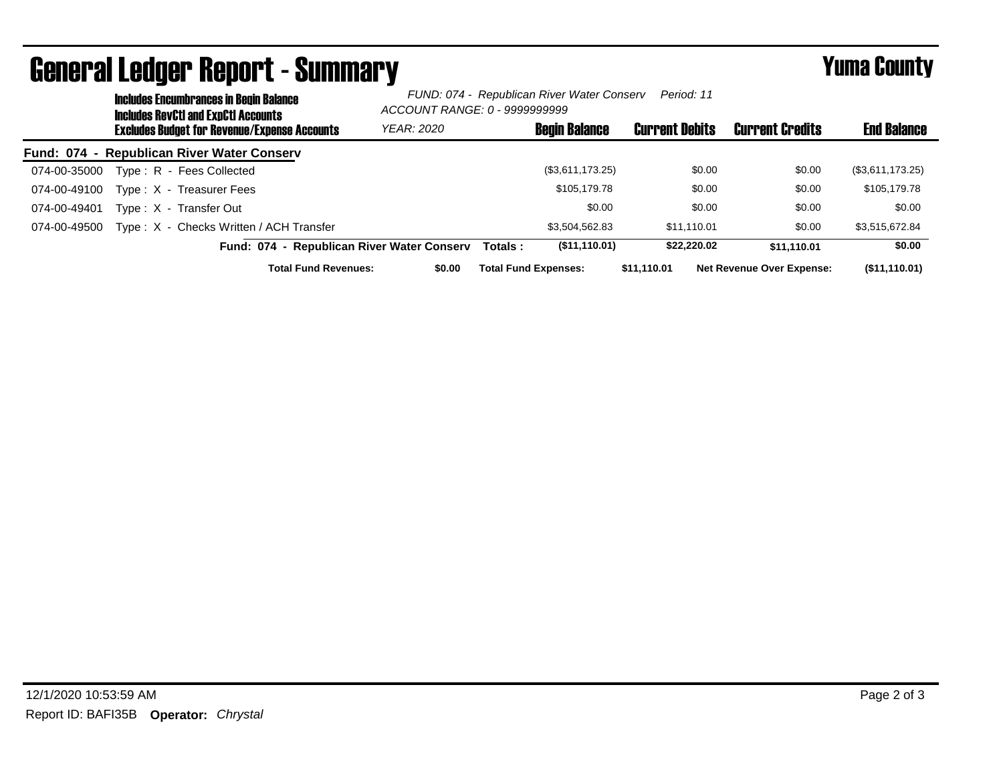|              | <b>Includes Encumbrances in Begin Balance</b><br>Includes RevCtI and ExpCtI Accounts |                                                     | FUND: 074 - Republican River Water Conserv<br>Period: 11<br>ACCOUNT RANGE: 0 - 9999999999 |         |                             |                       |             |                                  |                    |
|--------------|--------------------------------------------------------------------------------------|-----------------------------------------------------|-------------------------------------------------------------------------------------------|---------|-----------------------------|-----------------------|-------------|----------------------------------|--------------------|
|              |                                                                                      | <b>Excludes Budget for Revenue/Expense Accounts</b> | <b>YEAR: 2020</b>                                                                         |         | <b>Begin Balance</b>        | <b>Current Debits</b> |             | <b>Current Credits</b>           | <b>End Balance</b> |
|              |                                                                                      | Fund: 074 - Republican River Water Conserv          |                                                                                           |         |                             |                       |             |                                  |                    |
| 074-00-35000 |                                                                                      | Type: R - Fees Collected                            |                                                                                           |         | (\$3,611,173.25)            |                       | \$0.00      | \$0.00                           | (\$3,611,173.25)   |
| 074-00-49100 |                                                                                      | Type: X - Treasurer Fees                            |                                                                                           |         | \$105,179.78                |                       | \$0.00      | \$0.00                           | \$105,179.78       |
| 074-00-49401 |                                                                                      | Type: X - Transfer Out                              |                                                                                           |         | \$0.00                      |                       | \$0.00      | \$0.00                           | \$0.00             |
| 074-00-49500 |                                                                                      | Type: X - Checks Written / ACH Transfer             |                                                                                           |         | \$3.504.562.83              |                       | \$11.110.01 | \$0.00                           | \$3,515,672.84     |
|              |                                                                                      | Fund: 074 - Republican River Water Conserv          |                                                                                           | Totals: | (\$11,110.01)               |                       | \$22,220.02 | \$11.110.01                      | \$0.00             |
|              |                                                                                      | <b>Total Fund Revenues:</b>                         | \$0.00                                                                                    |         | <b>Total Fund Expenses:</b> | \$11.110.01           |             | <b>Net Revenue Over Expense:</b> | (\$11,110.01)      |

## General Ledger Report - Summary **Example 2018** Yuma County